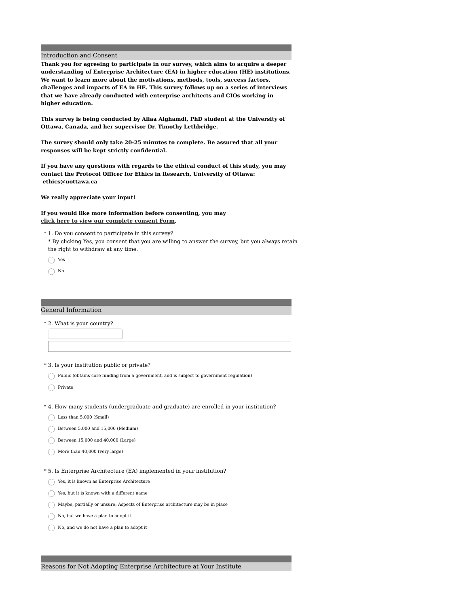#### Introduction and Consent

**Thank you for agreeing to participate in our survey, which aims to acquire a deeper understanding of Enterprise Architecture (EA) in higher education (HE) institutions. We want to learn more about the motivations, methods, tools, success factors, challenges and impacts of EA in HE. This survey follows up on a series of interviews that we have already conducted with enterprise architects and CIOs working in higher education.**

**This survey is being conducted by Aliaa Alghamdi, PhD student at the University of Ottawa, Canada, and her supervisor Dr. Timothy Lethbridge.**

**The survey should only take 20-25 minutes to complete. Be assured that all your responses will be kept strictly confidential.**

**If you have any questions with regards to the ethical conduct of this study, you may contact the Protocol Officer for Ethics in Research, University of Ottawa: ethics@uottawa.ca**

**We really appreciate your input!**

## **If you would like more information before consenting, you may click here to view our [complete](https://www.dropbox.com/s/hrxnlo4rb3015rt/General_Consent%20_Form.pdf?dl=0) consent Form.**

1. Do you consent to participate in this survey? \*

\* By clicking Yes, you consent that you are willing to answer the survey, but you always retain the right to withdraw at any time.

Yes

 $\bigcap$  No

#### General Information

\* 2. What is your country?

- \* 3. Is your institution public or private?
- $\bigcap$  Public (obtains core funding from a government, and is subject to government regulation)

 $\bigcap$  Private

- \* 4. How many students (undergraduate and graduate) are enrolled in your institution?
- $\bigcirc$  Less than 5,000 (Small)
- $\bigcirc$  Between 5,000 and 15,000 (Medium)
- $\bigcirc$  Between 15,000 and 40,000 (Large)
- $\bigcirc$  More than 40,000 (very large)
- \* 5. Is Enterprise Architecture (EA) implemented in your institution?
- $\bigcap$  Yes, it is known as Enterprise Architecture
- $\bigcap$  Yes, but it is known with a different name
- $\bigcirc$  Maybe, partially or unsure: Aspects of Enterprise architecture may be in place
- No, but we have a plan to adopt it
- No, and we do not have a plan to adopt it

Reasons for Not Adopting Enterprise Architecture at Your Institute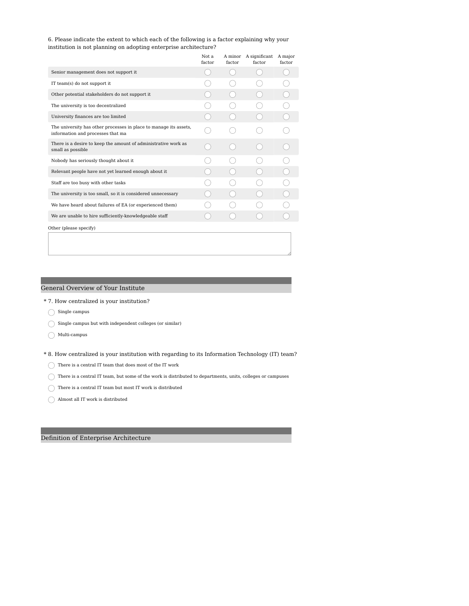6. Please indicate the extent to which each of the following is a factor explaining why your institution is not planning on adopting enterprise architecture?

|                                                                                                        | Not a<br>factor | A minor<br>factor | A significant<br>factor | A major<br>factor |
|--------------------------------------------------------------------------------------------------------|-----------------|-------------------|-------------------------|-------------------|
| Senior management does not support it                                                                  |                 |                   |                         |                   |
| IT team(s) do not support it                                                                           |                 |                   |                         |                   |
| Other potential stakeholders do not support it                                                         |                 |                   |                         |                   |
| The university is too decentralized                                                                    |                 |                   |                         |                   |
| University finances are too limited                                                                    |                 |                   |                         |                   |
| The university has other processes in place to manage its assets,<br>information and processes that ma |                 |                   |                         |                   |
| There is a desire to keep the amount of administrative work as<br>small as possible                    |                 |                   |                         |                   |
| Nobody has seriously thought about it                                                                  |                 |                   |                         |                   |
| Relevant people have not yet learned enough about it                                                   |                 |                   |                         |                   |
| Staff are too busy with other tasks                                                                    |                 |                   |                         |                   |
| The university is too small, so it is considered unnecessary                                           |                 |                   |                         |                   |
| We have heard about failures of EA (or experienced them)                                               |                 |                   |                         |                   |
| We are unable to hire sufficiently-knowledgeable staff                                                 |                 |                   |                         |                   |
| Other (please specify)                                                                                 |                 |                   |                         |                   |
|                                                                                                        |                 |                   |                         |                   |

#### General Overview of Your Institute

- \* 7. How centralized is your institution?
- $\bigcirc$  Single campus
- $\bigcirc$  Single campus but with independent colleges (or similar)
- $\bigcap$  Multi-campus
- \* 8. How centralized is your institution with regarding to its Information Technology (IT) team?

 $\bigcirc$  There is a central IT team that does most of the IT work

- $\bigcirc$  There is a central IT team, but some of the work is distributed to departments, units, colleges or campuses
- $\bigcap$  There is a central IT team but most IT work is distributed
- $\bigcirc$  Almost all IT work is distributed

Definition of Enterprise Architecture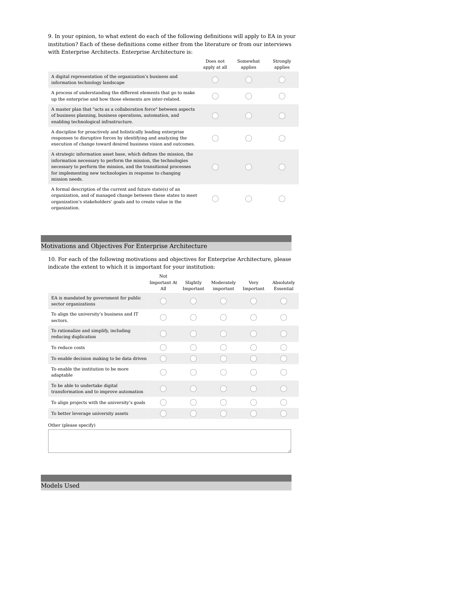9. In your opinion, to what extent do each of the following definitions will apply to EA in your institution? Each of these definitions come either from the literature or from our interviews with Enterprise Architects. Enterprise Architecture is:

|                                                                                                                                                                                                                                                                                         | Does not<br>apply at all | Somewhat.<br>applies | Strongly<br>applies |
|-----------------------------------------------------------------------------------------------------------------------------------------------------------------------------------------------------------------------------------------------------------------------------------------|--------------------------|----------------------|---------------------|
| A digital representation of the organization's business and<br>information technology landscape                                                                                                                                                                                         |                          |                      |                     |
| A process of understanding the different elements that go to make<br>up the enterprise and how those elements are inter-related.                                                                                                                                                        |                          |                      |                     |
| A master plan that "acts as a collaboration force" between aspects<br>of business planning, business operations, automation, and<br>enabling technological infrastructure.                                                                                                              |                          |                      |                     |
| A discipline for proactively and holistically leading enterprise<br>responses to disruptive forces by identifying and analyzing the<br>execution of change toward desired business vision and outcomes.                                                                                 |                          |                      |                     |
| A strategic information asset base, which defines the mission, the<br>information necessary to perform the mission, the technologies<br>necessary to perform the mission, and the transitional processes<br>for implementing new technologies in response to changing<br>mission needs. |                          |                      |                     |
| A formal description of the current and future state(s) of an<br>organization, and of managed change between these states to meet<br>organization's stakeholders' goals and to create value in the<br>organization.                                                                     |                          |                      |                     |

## Motivations and Objectives For Enterprise Architecture

10. For each of the following motivations and objectives for Enterprise Architecture, please indicate the extent to which it is important for your institution:

|                                                                             | Not.<br>Important At<br>All | Slightly<br>Important | Moderately<br>important | Very<br>Important | Absolutely<br>Essential |
|-----------------------------------------------------------------------------|-----------------------------|-----------------------|-------------------------|-------------------|-------------------------|
| EA is mandated by government for public<br>sector organizations             |                             |                       |                         |                   |                         |
| To align the university's business and IT<br>sectors.                       |                             |                       |                         |                   |                         |
| To rationalize and simplify, including<br>reducing duplication              |                             |                       |                         |                   |                         |
| To reduce costs                                                             |                             |                       |                         |                   |                         |
| To enable decision making to be data driven                                 |                             |                       |                         |                   |                         |
| To enable the institution to be more<br>adaptable                           |                             |                       |                         |                   |                         |
| To be able to undertake digital<br>transformation and to improve automation |                             |                       |                         |                   |                         |
| To align projects with the university's goals                               |                             |                       |                         |                   |                         |
| To better leverage university assets                                        |                             |                       |                         |                   |                         |
| Other (please specify)                                                      |                             |                       |                         |                   |                         |
|                                                                             |                             |                       |                         |                   |                         |

Models Used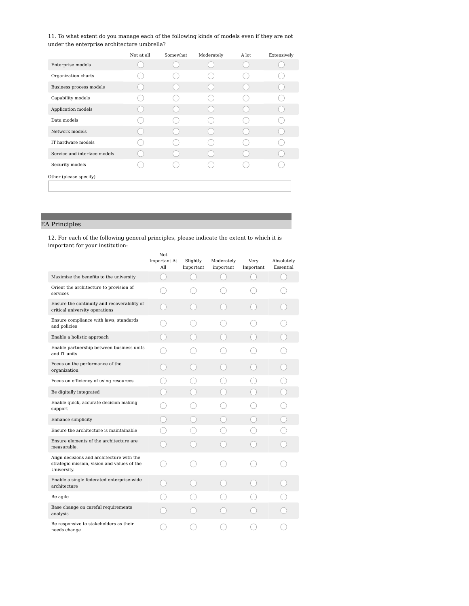11. To what extent do you manage each of the following kinds of models even if they are not under the enterprise architecture umbrella?

|                              | Not at all | Somewhat | Moderately | A lot | Extensively |
|------------------------------|------------|----------|------------|-------|-------------|
| Enterprise models            |            |          |            |       |             |
| Organization charts          |            |          |            |       |             |
| Business process models      |            |          |            |       |             |
| Capability models            |            |          |            |       |             |
| Application models           |            |          |            |       |             |
| Data models                  |            |          |            |       |             |
| Network models               |            |          |            |       |             |
| IT hardware models           |            |          |            |       |             |
| Service and interface models |            |          |            |       |             |
| Security models              |            |          |            |       |             |
| Other (please specify)       |            |          |            |       |             |
|                              |            |          |            |       |             |

# EA Principles

12. For each of the following general principles, please indicate the extent to which it is important for your institution:

|                                                                                                         | Not<br>Important At<br>All | Slightly<br>Important | Moderately<br>important | Very<br>Important | Absolutely<br>Essential |
|---------------------------------------------------------------------------------------------------------|----------------------------|-----------------------|-------------------------|-------------------|-------------------------|
| Maximize the benefits to the university                                                                 | (                          |                       |                         |                   |                         |
| Orient the architecture to provision of<br>services                                                     |                            |                       |                         |                   |                         |
| Ensure the continuity and recoverability of<br>critical university operations                           |                            |                       |                         |                   |                         |
| Ensure compliance with laws, standards<br>and policies                                                  |                            |                       |                         |                   |                         |
| Enable a holistic approach                                                                              |                            |                       |                         |                   |                         |
| Enable partnership between business units<br>and IT units                                               |                            |                       |                         |                   |                         |
| Focus on the performance of the<br>organization                                                         |                            |                       |                         |                   |                         |
| Focus on efficiency of using resources                                                                  |                            |                       |                         |                   |                         |
| Be digitally integrated                                                                                 |                            |                       |                         |                   |                         |
| Enable quick, accurate decision making<br>support                                                       |                            |                       |                         |                   |                         |
| Enhance simplicity                                                                                      |                            |                       |                         |                   |                         |
| Ensure the architecture is maintainable                                                                 |                            |                       |                         |                   |                         |
| Ensure elements of the architecture are<br>measurable.                                                  |                            |                       |                         |                   |                         |
| Align decisions and architecture with the<br>strategic mission, vision and values of the<br>University. |                            |                       |                         |                   |                         |
| Enable a single federated enterprise-wide<br>architecture                                               |                            |                       |                         |                   |                         |
| Be agile                                                                                                |                            |                       |                         |                   |                         |
| Base change on careful requirements<br>analysis                                                         |                            |                       |                         |                   |                         |
| Be responsive to stakeholders as their<br>needs change                                                  |                            |                       |                         |                   |                         |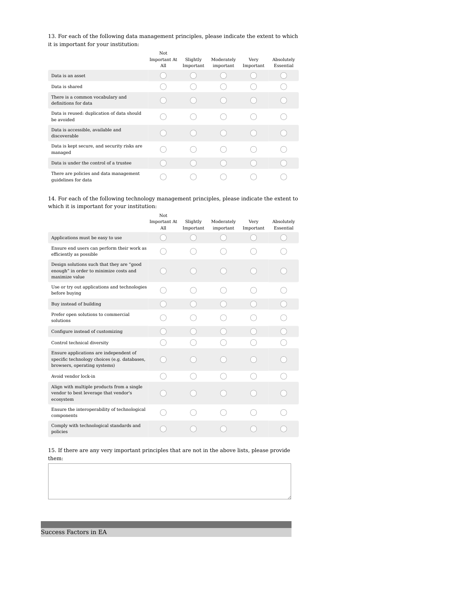13. For each of the following data management principles, please indicate the extent to which it is important for your institution:

|                                                               | Not<br>Important At<br>All | Slightly<br>Important | Moderately<br>important | Very<br>Important | Absolutely<br>Essential |
|---------------------------------------------------------------|----------------------------|-----------------------|-------------------------|-------------------|-------------------------|
| Data is an asset                                              |                            |                       |                         |                   |                         |
| Data is shared                                                |                            |                       |                         |                   |                         |
| There is a common vocabulary and<br>definitions for data      |                            |                       |                         |                   |                         |
| Data is reused: duplication of data should<br>be avoided      |                            |                       |                         |                   |                         |
| Data is accessible, available and<br>discoverable             |                            |                       |                         |                   |                         |
| Data is kept secure, and security risks are<br>managed        |                            |                       |                         |                   |                         |
| Data is under the control of a trustee                        |                            |                       |                         |                   |                         |
| There are policies and data management<br>quidelines for data |                            |                       |                         |                   |                         |

14. For each of the following technology management principles, please indicate the extent to which it is important for your institution:

Not

|                                                                                                                        | Not.<br>Important At<br>All | Slightly<br>Important | Moderately<br>important | Very<br>Important | Absolutely<br>Essential |
|------------------------------------------------------------------------------------------------------------------------|-----------------------------|-----------------------|-------------------------|-------------------|-------------------------|
| Applications must be easy to use                                                                                       |                             |                       |                         |                   |                         |
| Ensure end users can perform their work as<br>efficiently as possible                                                  |                             |                       |                         |                   |                         |
| Design solutions such that they are "good<br>enough" in order to minimize costs and<br>maximize value                  |                             |                       |                         |                   |                         |
| Use or try out applications and technologies<br>before buying                                                          |                             |                       |                         |                   |                         |
| Buy instead of building                                                                                                |                             |                       |                         |                   |                         |
| Prefer open solutions to commercial<br>solutions                                                                       |                             |                       |                         |                   |                         |
| Configure instead of customizing                                                                                       |                             |                       |                         |                   |                         |
| Control technical diversity                                                                                            |                             |                       |                         |                   |                         |
| Ensure applications are independent of<br>specific technology choices (e.g. databases,<br>browsers, operating systems) |                             |                       |                         |                   |                         |
| Avoid vendor lock-in                                                                                                   |                             |                       |                         |                   |                         |
| Align with multiple products from a single<br>vendor to best leverage that vendor's<br>ecosystem                       |                             |                       |                         |                   |                         |
| Ensure the interoperability of technological<br>components                                                             |                             |                       |                         |                   |                         |
| Comply with technological standards and<br>policies                                                                    |                             |                       |                         |                   |                         |

15. If there are any very important principles that are not in the above lists, please provide them:

Success Factors in EA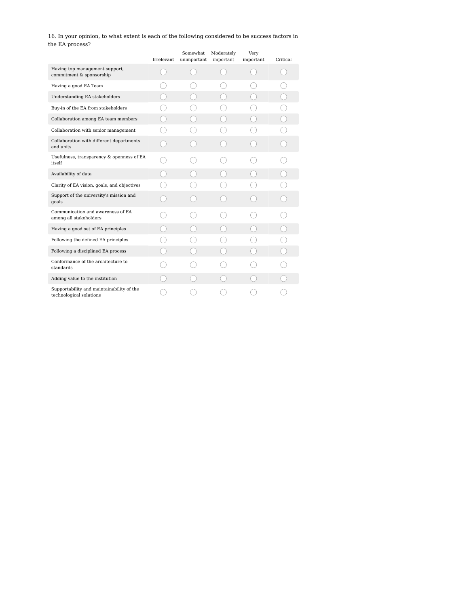16. In your opinion, to what extent is each of the following considered to be success factors in the EA process?

|                                                                      | Irrelevant | Somewhat<br>unimportant | Moderately<br>important | Very<br>important | Critical |
|----------------------------------------------------------------------|------------|-------------------------|-------------------------|-------------------|----------|
| Having top management support,<br>commitment & sponsorship           |            |                         |                         |                   |          |
| Having a good EA Team                                                |            |                         |                         |                   |          |
| <b>Understanding EA stakeholders</b>                                 |            |                         |                         |                   |          |
| Buy-in of the EA from stakeholders                                   |            |                         |                         |                   |          |
| Collaboration among EA team members                                  |            |                         |                         |                   |          |
| Collaboration with senior management                                 |            |                         |                         |                   |          |
| Collaboration with different departments<br>and units                |            |                         |                         |                   |          |
| Usefulness, transparency & openness of EA<br>itself                  |            |                         |                         |                   |          |
| Availability of data                                                 |            |                         |                         |                   |          |
| Clarity of EA vision, goals, and objectives                          |            |                         |                         |                   |          |
| Support of the university's mission and<br>goals                     |            |                         |                         |                   |          |
| Communication and awareness of EA<br>among all stakeholders          |            |                         |                         |                   |          |
| Having a good set of EA principles                                   |            |                         |                         |                   |          |
| Following the defined EA principles                                  |            |                         |                         |                   |          |
| Following a disciplined EA process                                   |            |                         |                         |                   |          |
| Conformance of the architecture to<br>standards                      |            |                         |                         |                   |          |
| Adding value to the institution                                      |            |                         |                         |                   |          |
| Supportability and maintainability of the<br>technological solutions |            |                         |                         |                   |          |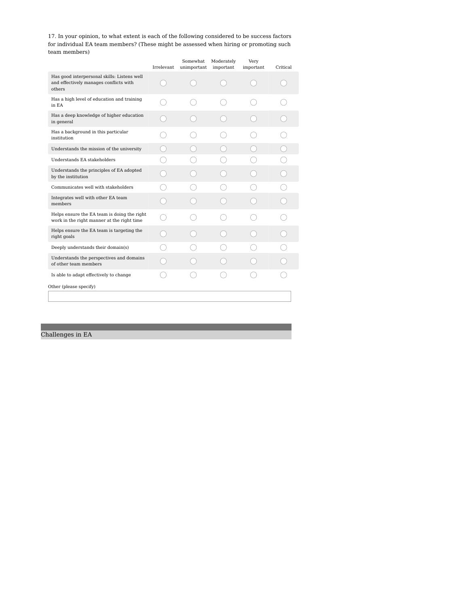17. In your opinion, to what extent is each of the following considered to be success factors for individual EA team members? (These might be assessed when hiring or promoting such team members)

|                                                                                                 | Irrelevant | Somewhat<br>unimportant | Moderately<br>important | Very<br>important | Critical |
|-------------------------------------------------------------------------------------------------|------------|-------------------------|-------------------------|-------------------|----------|
| Has good interpersonal skills: Listens well<br>and effectively manages conflicts with<br>others |            |                         |                         |                   |          |
| Has a high level of education and training<br>in EA                                             |            |                         |                         |                   |          |
| Has a deep knowledge of higher education<br>in general                                          |            |                         |                         |                   |          |
| Has a background in this particular<br>institution                                              |            |                         |                         |                   |          |
| Understands the mission of the university                                                       |            |                         |                         |                   |          |
| Understands EA stakeholders                                                                     |            |                         |                         |                   |          |
| Understands the principles of EA adopted<br>by the institution                                  |            |                         |                         |                   |          |
| Communicates well with stakeholders                                                             |            |                         |                         |                   |          |
| Integrates well with other EA team<br>members                                                   |            |                         |                         |                   |          |
| Helps ensure the EA team is doing the right<br>work in the right manner at the right time       |            |                         |                         |                   |          |
| Helps ensure the EA team is targeting the<br>right goals                                        |            |                         |                         |                   |          |
| Deeply understands their domain(s)                                                              |            |                         |                         |                   |          |
| Understands the perspectives and domains<br>of other team members                               |            |                         |                         |                   |          |
| Is able to adapt effectively to change                                                          |            |                         |                         |                   |          |
| Other (please specify)                                                                          |            |                         |                         |                   |          |
|                                                                                                 |            |                         |                         |                   |          |
|                                                                                                 |            |                         |                         |                   |          |

Challenges in EA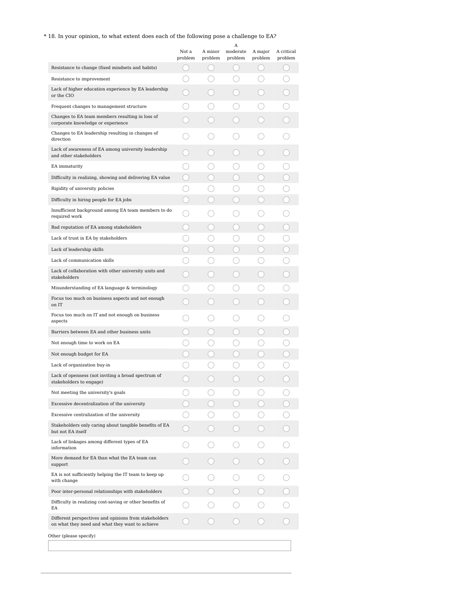# $^\ast$  18. In your opinion, to what extent does each of the following pose a challenge to EA?

|                                                                                                          | Not a<br>problem | A minor<br>problem | Α<br>moderate<br>problem | A major<br>problem                            | A critical<br>problem |
|----------------------------------------------------------------------------------------------------------|------------------|--------------------|--------------------------|-----------------------------------------------|-----------------------|
| Resistance to change (fixed mindsets and habits)                                                         |                  |                    |                          |                                               |                       |
| Resistance to improvement                                                                                |                  |                    |                          |                                               |                       |
| Lack of higher education experience by EA leadership<br>or the CIO                                       |                  |                    |                          |                                               |                       |
| Frequent changes to management structure                                                                 |                  |                    |                          |                                               |                       |
| Changes to EA team members resulting in loss of<br>corporate knowledge or experience                     |                  |                    |                          |                                               |                       |
| Changes to EA leadership resulting in changes of<br>direction                                            |                  |                    |                          | О.                                            |                       |
| Lack of awareness of EA among university leadership<br>and other stakeholders                            |                  |                    |                          |                                               |                       |
| EA immaturity                                                                                            |                  |                    |                          |                                               |                       |
| Difficulty in realizing, showing and delivering EA value                                                 | 0                |                    |                          | $\left( \begin{array}{c} \end{array} \right)$ |                       |
| Rigidity of university policies                                                                          |                  |                    |                          |                                               |                       |
| Difficulty in hiring people for EA jobs                                                                  | - 1              |                    |                          | $\rightarrow$                                 |                       |
| Insufficient background among EA team members to do<br>required work                                     |                  |                    |                          | . . )                                         |                       |
| Bad reputation of EA among stakeholders                                                                  |                  |                    |                          | Э                                             |                       |
| Lack of trust in EA by stakeholders                                                                      |                  |                    |                          |                                               |                       |
| Lack of leadership skills                                                                                |                  |                    |                          |                                               |                       |
| Lack of communication skills                                                                             |                  |                    |                          |                                               |                       |
| Lack of collaboration with other university units and<br>stakeholders                                    |                  |                    |                          |                                               |                       |
| Misunderstanding of EA language & terminology                                                            |                  |                    |                          |                                               |                       |
| Focus too much on business aspects and not enough<br>on IT                                               |                  |                    |                          |                                               |                       |
| Focus too much on IT and not enough on business<br>aspects                                               |                  |                    |                          |                                               |                       |
| Barriers between EA and other business units                                                             |                  |                    |                          |                                               |                       |
| Not enough time to work on EA                                                                            |                  |                    |                          |                                               |                       |
| Not enough budget for EA                                                                                 |                  |                    |                          |                                               |                       |
| Lack of organization buy-in                                                                              |                  |                    |                          |                                               |                       |
| Lack of openness (not inviting a broad spectrum of<br>stakeholders to engage)                            |                  |                    |                          |                                               |                       |
| Not meeting the university's goals                                                                       |                  |                    |                          |                                               |                       |
| Excessive decentralization of the university                                                             |                  |                    |                          |                                               |                       |
| Excessive centralization of the university                                                               |                  |                    |                          |                                               |                       |
| Stakeholders only caring about tangible benefits of EA<br>but not EA itself                              |                  |                    |                          |                                               |                       |
| Lack of linkages among different types of EA<br>information                                              |                  |                    |                          |                                               |                       |
| More demand for EA than what the EA team can<br>support                                                  |                  |                    |                          |                                               |                       |
| EA is not sufficiently helping the IT team to keep up<br>with change                                     |                  |                    |                          |                                               |                       |
| Poor inter-personal relationships with stakeholders                                                      |                  |                    |                          |                                               |                       |
| Difficulty in realizing cost-saving or other benefits of<br>EA                                           |                  |                    |                          |                                               |                       |
| Different perspectives and opinions from stakeholders<br>on what they need and what they want to achieve |                  |                    |                          |                                               |                       |
| Other (please specify)                                                                                   |                  |                    |                          |                                               |                       |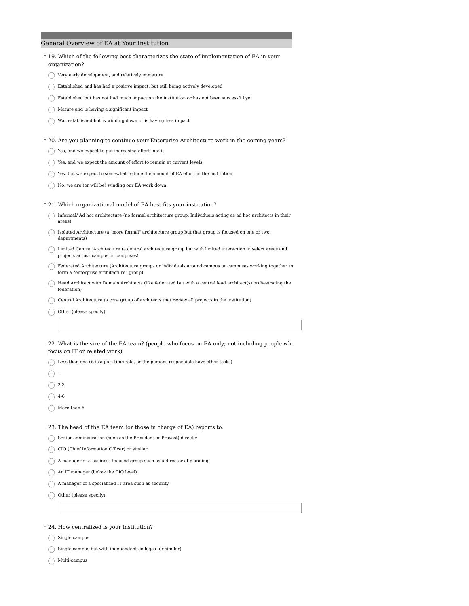# General Overview of EA at Your Institution

| *19. Which of the following best characterizes the state of implementation of EA in your<br>organization?                                           |
|-----------------------------------------------------------------------------------------------------------------------------------------------------|
| Very early development, and relatively immature                                                                                                     |
| Established and has had a positive impact, but still being actively developed                                                                       |
| Established but has not had much impact on the institution or has not been successful yet                                                           |
| Mature and is having a significant impact                                                                                                           |
| Was established but is winding down or is having less impact                                                                                        |
| *20. Are you planning to continue your Enterprise Architecture work in the coming years?                                                            |
| Yes, and we expect to put increasing effort into it                                                                                                 |
| Yes, and we expect the amount of effort to remain at current levels                                                                                 |
| Yes, but we expect to somewhat reduce the amount of EA effort in the institution                                                                    |
| No, we are (or will be) winding our EA work down                                                                                                    |
| * 21. Which organizational model of EA best fits your institution?                                                                                  |
| Informal/ Ad hoc architecture (no formal architecture group. Individuals acting as ad hoc architects in their<br>areas)                             |
| Isolated Architecture (a "more formal" architecture group but that group is focused on one or two<br>departments)                                   |
| Limited Central Architecture (a central architecture group but with limited interaction in select areas and<br>projects across campus or campuses)  |
| Federated Architecture (Architecture groups or individuals around campus or campuses working together to<br>form a "enterprise architecture" group) |
| Head Architect with Domain Architects (like federated but with a central lead architect(s) orchestrating the<br>federation)                         |
| Central Architecture (a core group of architects that review all projects in the institution)                                                       |
| Other (please specify)                                                                                                                              |
|                                                                                                                                                     |
| 22. What is the size of the EA team? (people who focus on EA only; not including people who<br>focus on IT or related work)                         |
| Less than one (it is a part time role, or the persons responsible have other tasks)                                                                 |
| 1                                                                                                                                                   |
| $2 - 3$                                                                                                                                             |

- $\bigcirc$  4-6
- $\bigcirc$  More than 6

## 23. The head of the EA team (or those in charge of EA) reports to:

 $\bigcirc$ Senior administration (such as the President or Provost) directly

 $\bigcirc$ CIO (Chief Information Officer) or similar

 $\bigcirc$  A manager of a business-focused group such as a director of planning

An IT manager (below the CIO level)

 $\bigcirc$  A manager of a specialized IT area such as security

Other (please specify)

### \* 24. How centralized is your institution?

 $\bigcirc$  Single campus

 $\bigcirc$  Single campus but with independent colleges (or similar)

 $\bigcap$  Multi-campus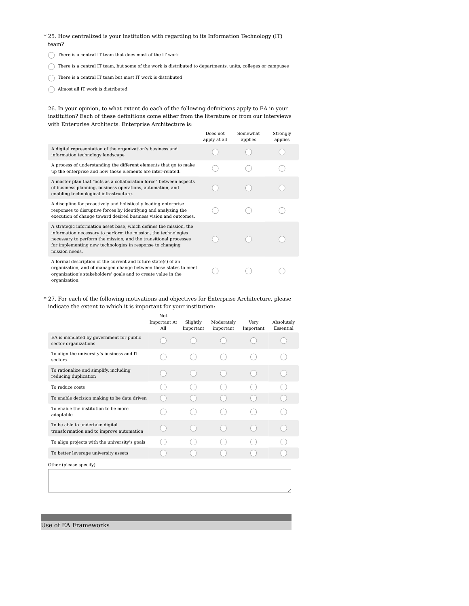- 25. How centralized is your institution with regarding to its Information Technology (IT) \* team?
- $\bigcirc$  There is a central IT team that does most of the IT work
- $\bigcirc$  There is a central IT team, but some of the work is distributed to departments, units, colleges or campuses
- $\bigcirc$  There is a central IT team but most IT work is distributed
- $\bigcirc$  Almost all IT work is distributed

26. In your opinion, to what extent do each of the following definitions apply to EA in your institution? Each of these definitions come either from the literature or from our interviews with Enterprise Architects. Enterprise Architecture is:

|                                                                                                                                                                                                                                                                                         | Does not<br>apply at all | Somewhat.<br>applies | Strongly<br>applies |
|-----------------------------------------------------------------------------------------------------------------------------------------------------------------------------------------------------------------------------------------------------------------------------------------|--------------------------|----------------------|---------------------|
| A digital representation of the organization's business and<br>information technology landscape                                                                                                                                                                                         |                          |                      |                     |
| A process of understanding the different elements that go to make<br>up the enterprise and how those elements are inter-related.                                                                                                                                                        |                          |                      |                     |
| A master plan that "acts as a collaboration force" between aspects<br>of business planning, business operations, automation, and<br>enabling technological infrastructure.                                                                                                              |                          |                      |                     |
| A discipline for proactively and holistically leading enterprise<br>responses to disruptive forces by identifying and analyzing the<br>execution of change toward desired business vision and outcomes.                                                                                 |                          |                      |                     |
| A strategic information asset base, which defines the mission, the<br>information necessary to perform the mission, the technologies<br>necessary to perform the mission, and the transitional processes<br>for implementing new technologies in response to changing<br>mission needs. |                          |                      |                     |
| A formal description of the current and future state(s) of an<br>organization, and of managed change between these states to meet<br>organization's stakeholders' goals and to create value in the<br>organization.                                                                     |                          |                      |                     |

### 27. For each of the following motivations and objectives for Enterprise Architecture, please \* indicate the extent to which it is important for your institution:

|                                                                             | Not<br>Important At<br>All | Slightly<br>Important | Moderately<br>important | Very<br>Important | Absolutely<br>Essential |
|-----------------------------------------------------------------------------|----------------------------|-----------------------|-------------------------|-------------------|-------------------------|
| EA is mandated by government for public<br>sector organizations             |                            |                       |                         |                   |                         |
| To align the university's business and IT<br>sectors.                       |                            |                       |                         |                   |                         |
| To rationalize and simplify, including<br>reducing duplication              |                            |                       |                         |                   |                         |
| To reduce costs                                                             |                            |                       |                         |                   |                         |
| To enable decision making to be data driven                                 |                            |                       |                         |                   |                         |
| To enable the institution to be more<br>adaptable                           |                            |                       |                         |                   |                         |
| To be able to undertake digital<br>transformation and to improve automation |                            |                       |                         |                   |                         |
| To align projects with the university's goals                               |                            |                       |                         |                   |                         |
| To better leverage university assets                                        |                            |                       |                         |                   |                         |
| Other (please specify)                                                      |                            |                       |                         |                   |                         |
|                                                                             |                            |                       |                         |                   |                         |

Use of EA Frameworks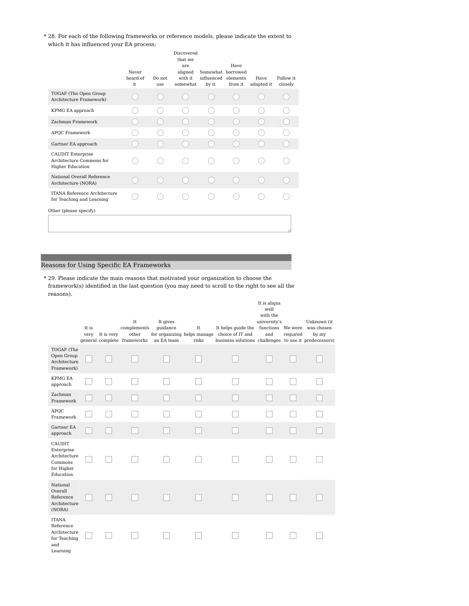28. For each of the following frameworks or reference models, please indicate the extent to \* which it has influenced your EA process:

|                                                                                 | Never<br>heard of<br>it | Do not<br>use | Discovered<br>that we<br>are<br>aligned<br>with it.<br>somewhat | Somewhat borrowed<br>influenced elements<br>by it | Have<br>from it | Have<br>adapted it | Follow it.<br>closely |
|---------------------------------------------------------------------------------|-------------------------|---------------|-----------------------------------------------------------------|---------------------------------------------------|-----------------|--------------------|-----------------------|
| TOGAF (The Open Group<br>Architecture Framework)                                |                         |               |                                                                 |                                                   |                 |                    |                       |
| KPMG EA approach                                                                |                         |               |                                                                 |                                                   |                 |                    |                       |
| Zachman Framework                                                               |                         |               |                                                                 |                                                   |                 |                    |                       |
| <b>APOC Framework</b>                                                           |                         |               |                                                                 |                                                   |                 |                    |                       |
| Gartner EA approach                                                             |                         |               |                                                                 |                                                   |                 |                    |                       |
| <b>CAUDIT Enterprise</b><br>Architecture Commons for<br><b>Higher Education</b> |                         |               |                                                                 |                                                   |                 |                    |                       |
| National Overall Reference<br>Architecture (NORA)                               |                         |               |                                                                 |                                                   |                 |                    |                       |
| <b>ITANA Reference Architecture</b><br>for Teaching and Learning                |                         |               |                                                                 |                                                   |                 |                    |                       |
| Other (please specify)                                                          |                         |               |                                                                 |                                                   |                 |                    |                       |
|                                                                                 |                         |               |                                                                 |                                                   |                 |                    |                       |

# Reasons for Using Specific EA Frameworks

29. Please indicate the main reasons that motivated your organization to choose the \*framework(s) identified in the last question (you may need to scroll to the right to see all the reasons).

|                                                                              | It is<br>very | It is very | $\operatorname{It}$<br>complements<br>other<br>general complete frameworks | It gives<br>guidance<br>an EA team | It<br>risks | It helps guide the functions We were was chosen<br>for organizing helps manage choice of IT and<br>business solutions challenges to use it predecessors) | It is aligns<br>well<br>with the<br>university's<br>and | required | Unknown (it<br>by my |
|------------------------------------------------------------------------------|---------------|------------|----------------------------------------------------------------------------|------------------------------------|-------------|----------------------------------------------------------------------------------------------------------------------------------------------------------|---------------------------------------------------------|----------|----------------------|
| TOGAF (The<br>Open Group<br>Architecture<br>Framework)                       |               |            |                                                                            |                                    |             |                                                                                                                                                          |                                                         |          |                      |
| <b>KPMG EA</b><br>approach                                                   |               |            |                                                                            |                                    |             |                                                                                                                                                          |                                                         |          |                      |
| Zachman<br>Framework                                                         |               |            |                                                                            |                                    |             |                                                                                                                                                          |                                                         |          |                      |
| <b>APQC</b><br>Framework                                                     |               |            |                                                                            |                                    |             |                                                                                                                                                          |                                                         |          |                      |
| Gartner EA<br>approach                                                       |               |            |                                                                            |                                    |             |                                                                                                                                                          |                                                         |          |                      |
| CAUDIT<br>Enterprise<br>Architecture<br>Commons<br>for Higher<br>Education   |               |            |                                                                            |                                    |             |                                                                                                                                                          |                                                         |          |                      |
| National<br>Overall<br>Reference<br>Architecture<br>(NORA)                   |               |            |                                                                            |                                    |             |                                                                                                                                                          |                                                         |          |                      |
| <b>ITANA</b><br>Reference<br>Architecture<br>for Teaching<br>and<br>Learning |               |            |                                                                            |                                    |             |                                                                                                                                                          |                                                         |          |                      |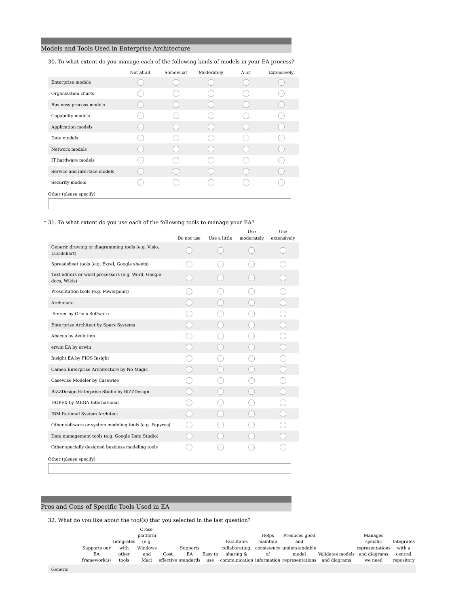## Models and Tools Used in Enterprise Architecture

| 30. To what extent do you manage each of the following kinds of models in your EA process? |            |          |            |        |             |  |  |  |  |  |
|--------------------------------------------------------------------------------------------|------------|----------|------------|--------|-------------|--|--|--|--|--|
|                                                                                            | Not at all | Somewhat | Moderately | A lot. | Extensively |  |  |  |  |  |
| Enterprise models                                                                          |            |          |            |        |             |  |  |  |  |  |
| Organization charts                                                                        |            |          |            |        |             |  |  |  |  |  |
| Business process models                                                                    |            |          |            |        |             |  |  |  |  |  |
| Capability models                                                                          |            |          |            |        |             |  |  |  |  |  |
| Application models                                                                         |            |          |            |        |             |  |  |  |  |  |
| Data models                                                                                |            |          |            |        |             |  |  |  |  |  |
| Network models                                                                             |            |          |            |        |             |  |  |  |  |  |
| IT hardware models                                                                         |            |          |            |        |             |  |  |  |  |  |
| Service and interface models                                                               |            |          |            |        |             |  |  |  |  |  |
| Security models                                                                            |            |          |            |        |             |  |  |  |  |  |
| Other (please specify)                                                                     |            |          |            |        |             |  |  |  |  |  |
|                                                                                            |            |          |            |        |             |  |  |  |  |  |
|                                                                                            |            |          |            |        |             |  |  |  |  |  |

## \* 31. To what extent do you use each of the following tools to manage your EA?

|                                                                    | Do not use | Use a little | moderately | extensively |
|--------------------------------------------------------------------|------------|--------------|------------|-------------|
| Generic drawing or diagramming tools (e.g. Visio,<br>Lucidchart)   |            |              |            |             |
| Spreadsheet tools (e.g. Excel, Google sheets)                      |            |              |            |             |
| Text editors or word processors (e.g. Word, Google<br>docs, Wikis) |            |              |            |             |
| Presentation tools (e.g. Powerpoint)                               |            |              |            |             |
| Archimate                                                          |            |              |            |             |
| iServer by Orbus Software                                          |            |              |            |             |
| Enterprise Architect by Sparx Systems                              |            |              |            |             |
| Abacus by Avolution                                                |            |              |            |             |
| erwin EA by erwin                                                  |            |              |            |             |
| Insight EA by FIOS Insight                                         |            |              |            |             |
| Cameo Enterprise Architecture by No Magic                          |            |              |            |             |
| Casewise Modeler by Casewise                                       |            |              |            |             |
| BiZZDesign Enterprise Studio by BiZZDesign                         |            |              |            |             |
| HOPEX by MEGA International                                        |            |              |            |             |
| IBM Rational System Architect                                      |            |              |            |             |
| Other software or system modeling tools (e.g. Papyrus)             |            |              |            |             |
| Data management tools (e.g. Google Data Studio)                    |            |              |            |             |
| Other specially designed business modeling tools                   |            |              |            |             |
| Other (please specify)                                             |            |              |            |             |

## Pros and Cons of Specific Tools Used in EA

 $32.$  What do you like about the tool(s) that you selected in the last question?

|              |            | Cross-   |      |                     |         |                |          |                                           |                  |                 |            |
|--------------|------------|----------|------|---------------------|---------|----------------|----------|-------------------------------------------|------------------|-----------------|------------|
|              |            | platform |      |                     |         |                | Helps    | Produces good                             |                  | Manages         |            |
|              | Integrates | (e.g.    |      |                     |         | Facilitates    | maintain | and                                       |                  | specific        | Integrates |
| Supports our | with       | Windows  |      | Supports            |         | collaborating. |          | consistency understandable                |                  | representations | with a     |
| EA           | other      | and      | Cost | EA                  | Easy to | sharing &      | οf       | model                                     | Validates models | and diagrams    | central    |
| framework(s) | tools      | Mac)     |      | effective standards | use     |                |          | communication information representations | and diagrams     | we need         | repository |
|              |            |          |      |                     |         |                |          |                                           |                  |                 |            |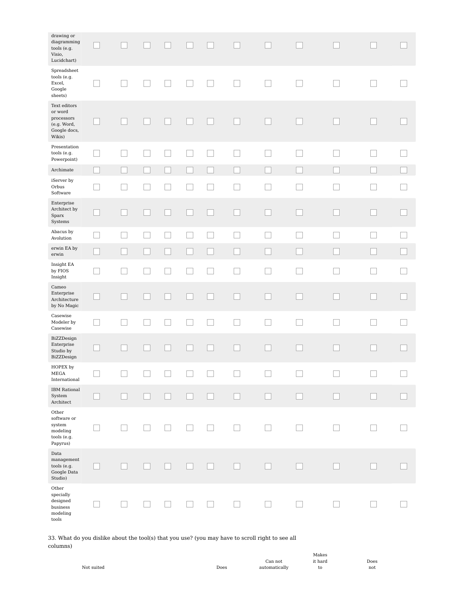| drawing or<br>diagramming<br>tools (e.g.<br>Visio,<br>Lucidchart)                |                          |              |                             |        |        |        |                          |                          |        |        |
|----------------------------------------------------------------------------------|--------------------------|--------------|-----------------------------|--------|--------|--------|--------------------------|--------------------------|--------|--------|
| Spreadsheet<br>tools (e.g.<br>Excel,<br>Google<br>sheets)                        |                          |              |                             |        | $\Box$ |        | $\mathcal{A}$            | $\overline{\phantom{a}}$ |        |        |
| Text editors<br>or word<br>processors<br>(e.g. Word,<br>Google docs,<br>Wikis)   |                          |              |                             |        |        |        |                          |                          |        |        |
| Presentation<br>tools (e.g.<br>Powerpoint)                                       |                          | ×            | ΓI                          |        | $\Box$ |        |                          |                          | Е      |        |
| Archimate                                                                        |                          |              |                             |        |        |        |                          |                          |        |        |
| iServer by<br>Orbus<br>Software                                                  | $\mathcal{L}$            |              |                             |        |        |        |                          |                          | Г      |        |
| Enterprise<br>Architect by<br>Sparx<br>Systems                                   |                          |              |                             |        |        |        |                          |                          | Г      |        |
| Abacus by<br>Avolution                                                           |                          | $\mathbf{L}$ | $\mathcal{L}_{\mathcal{A}}$ | $\Box$ | $\Box$ | $\Box$ |                          | $\overline{\phantom{a}}$ | L      |        |
| erwin EA by<br>$\operatorname{erwin}$                                            |                          |              | ×.                          |        |        |        |                          | $\overline{\phantom{a}}$ |        |        |
| Insight EA<br>by FIOS<br>Insight                                                 | $\overline{\phantom{a}}$ | ×            | ×                           |        | ×      |        |                          | ×                        |        |        |
| Cameo<br>Enterprise<br>Architecture<br>by No Magic                               |                          |              |                             |        |        |        |                          |                          | L      | $\Box$ |
| Casewise<br>Modeler by<br>Casewise                                               | $\mathcal{L}$            |              |                             |        | П      |        |                          |                          | Г      |        |
| BiZZDesign<br>Enterprise<br>Studio by<br>BiZZDesign                              |                          |              |                             |        |        |        |                          |                          |        |        |
| HOPEX by<br>MEGA<br>International                                                | $\Box$                   |              |                             |        |        |        |                          |                          | $\Box$ |        |
| <b>IBM</b> Rational<br>System<br>$\Large\bf Architecture$                        |                          |              | $\mathcal{L}$               |        |        |        | $\overline{\phantom{0}}$ |                          | E      |        |
| Other<br>software or<br>system<br>modeling<br>tools (e.g.<br>Papyrus)            |                          |              |                             |        |        |        |                          |                          |        |        |
| Data<br>$_{\rm management}$<br>tools (e.g.<br>Google Data<br>Studio)             |                          |              |                             |        |        |        |                          |                          |        |        |
| Other<br>specially<br>designed<br>business<br>$\operatorname{modeling}$<br>tools |                          |              |                             |        |        |        |                          |                          |        |        |

33. What do you dislike about the tool(s) that you use? (you may have to scroll right to see all columns)

Makes it hard to

Does not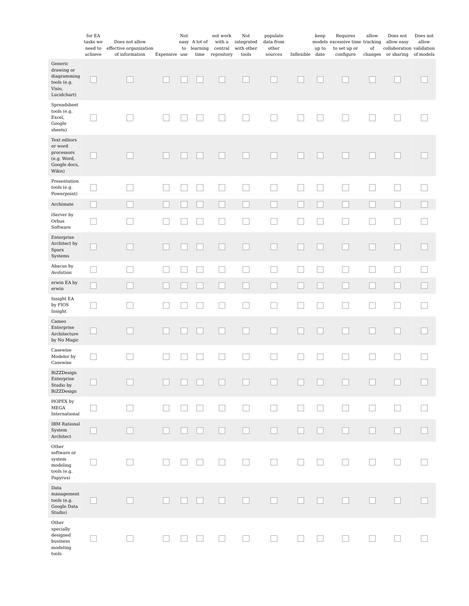|                                                                                | for EA<br>tasks we<br>need to<br>achieve | Does not allow<br>effective organization<br>of information | Expensive use | Not<br>to | easy A lot of<br>learning<br>$\lim$ e | not work<br>with a<br>central<br>repository | Not<br>integrated<br>with other<br>tools | populate<br>data from<br>other<br>sources | Inflexible date | keep<br>up to | Requires<br>models excessive time tracking<br>to set up or<br>configure | allow<br>of | Does not<br>allow easy<br>collaboration validation<br>changes or sharing | Does not<br>allow<br>of models |
|--------------------------------------------------------------------------------|------------------------------------------|------------------------------------------------------------|---------------|-----------|---------------------------------------|---------------------------------------------|------------------------------------------|-------------------------------------------|-----------------|---------------|-------------------------------------------------------------------------|-------------|--------------------------------------------------------------------------|--------------------------------|
| Generic<br>drawing or<br>diagramming<br>tools (e.g.<br>Visio,<br>Lucidchart)   |                                          |                                                            |               |           |                                       |                                             |                                          |                                           |                 |               |                                                                         |             |                                                                          |                                |
| Spreadsheet<br>tools (e.g.<br>Excel,<br>Google<br>sheets)                      |                                          |                                                            |               |           |                                       |                                             |                                          |                                           |                 |               |                                                                         |             |                                                                          |                                |
| Text editors<br>or word<br>processors<br>(e.g. Word,<br>Google docs,<br>Wikis) |                                          |                                                            |               |           |                                       |                                             |                                          |                                           |                 |               |                                                                         |             |                                                                          |                                |
| Presentation<br>tools (e.g.<br>Powerpoint)                                     |                                          |                                                            |               |           |                                       | - 1                                         |                                          | $\lceil \ \rceil$                         | ×.              |               |                                                                         |             | $\overline{\phantom{a}}$                                                 |                                |
| Archimate                                                                      |                                          |                                                            |               |           |                                       |                                             |                                          |                                           |                 |               |                                                                         |             |                                                                          |                                |
| iServer by<br>Orbus<br>Software                                                |                                          |                                                            |               |           |                                       |                                             |                                          |                                           |                 |               |                                                                         |             |                                                                          |                                |
| Enterprise<br>Architect by<br>Sparx<br>Systems                                 |                                          |                                                            |               |           |                                       |                                             |                                          |                                           |                 |               |                                                                         |             |                                                                          |                                |
| Abacus by<br>Avolution                                                         |                                          |                                                            |               |           |                                       |                                             |                                          |                                           |                 |               |                                                                         |             | ⊏                                                                        |                                |
| $\quad$ erwin EA by<br>erwin                                                   |                                          |                                                            |               |           |                                       |                                             |                                          |                                           |                 |               |                                                                         |             |                                                                          |                                |
| Insight EA<br>by FIOS<br>Insight                                               |                                          |                                                            |               |           |                                       |                                             |                                          |                                           |                 |               |                                                                         |             |                                                                          |                                |
| Cameo<br>Enterprise<br>Architecture<br>by No Magic                             |                                          |                                                            |               |           |                                       |                                             |                                          |                                           |                 |               |                                                                         |             |                                                                          |                                |
| Casewise<br>Modeler by<br>Casewise                                             |                                          |                                                            |               |           |                                       |                                             |                                          |                                           |                 |               |                                                                         |             |                                                                          |                                |
| BiZZDesign<br>Enterprise<br>Studio by<br>BiZZDesign                            |                                          |                                                            |               |           |                                       |                                             |                                          |                                           |                 |               |                                                                         |             |                                                                          |                                |
| HOPEX by<br>MEGA<br>International                                              |                                          |                                                            |               |           |                                       |                                             | . I                                      | Γı                                        | $\mathbf{I}$    | $\Box$        | $\mathcal{L}$                                                           |             | $\Box$                                                                   |                                |
| <b>IBM</b> Rational<br>System<br>${\bf Architecture}$                          |                                          |                                                            |               |           |                                       |                                             |                                          |                                           |                 |               |                                                                         |             |                                                                          |                                |
| Other<br>software or<br>system<br>modeling<br>tools (e.g.<br>Papyrus)          |                                          |                                                            |               |           |                                       |                                             |                                          |                                           |                 |               |                                                                         |             |                                                                          |                                |
| Data<br>$m$ anagement<br>tools (e.g.<br>Google Data<br>Studio)                 |                                          |                                                            |               |           |                                       |                                             |                                          |                                           |                 |               |                                                                         |             |                                                                          |                                |
| Other<br>specially<br>designed<br>business<br>modeling<br>tools                |                                          |                                                            |               |           |                                       |                                             |                                          |                                           |                 |               |                                                                         |             |                                                                          |                                |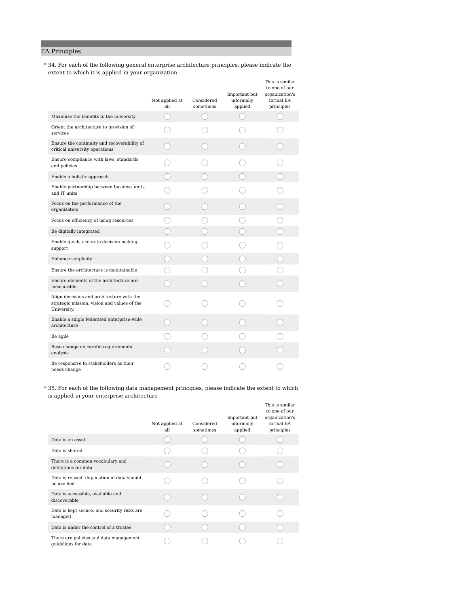# EA Principles

34. For each of the following general enterprise architecture principles, please indicate the \* extent to which it is applied in your organization

|                                                                                                         | Not applied at<br>all | Considered<br>sometimes | Important but<br>informally<br>applied | This is similar<br>to one of our<br>organization's<br>formal EA<br>principles |
|---------------------------------------------------------------------------------------------------------|-----------------------|-------------------------|----------------------------------------|-------------------------------------------------------------------------------|
| Maximize the benefits to the university                                                                 |                       |                         |                                        |                                                                               |
| Orient the architecture to provision of<br>services                                                     |                       |                         |                                        |                                                                               |
| Ensure the continuity and recoverability of<br>critical university operations                           |                       |                         |                                        |                                                                               |
| Ensure compliance with laws, standards<br>and policies                                                  |                       |                         |                                        |                                                                               |
| Enable a holistic approach                                                                              |                       |                         |                                        |                                                                               |
| Enable partnership between business units<br>and IT units                                               |                       |                         |                                        |                                                                               |
| Focus on the performance of the<br>organization                                                         |                       |                         |                                        |                                                                               |
| Focus on efficiency of using resources                                                                  |                       |                         |                                        |                                                                               |
| Be digitally integrated                                                                                 |                       |                         |                                        |                                                                               |
| Enable quick, accurate decision making<br>support                                                       |                       |                         |                                        |                                                                               |
| Enhance simplicity                                                                                      |                       |                         |                                        |                                                                               |
| Ensure the architecture is maintainable                                                                 |                       |                         |                                        |                                                                               |
| Ensure elements of the architecture are<br>measurable.                                                  |                       |                         |                                        |                                                                               |
| Align decisions and architecture with the<br>strategic mission, vision and values of the<br>University. |                       |                         |                                        |                                                                               |
| Enable a single federated enterprise-wide<br>architecture                                               |                       |                         |                                        |                                                                               |
| Be agile                                                                                                |                       |                         |                                        |                                                                               |
| Base change on careful requirements<br>analysis                                                         |                       |                         |                                        |                                                                               |
| Be responsive to stakeholders as their<br>needs change                                                  |                       |                         |                                        |                                                                               |

35. For each of the following data management principles, please indicate the extent to which \*is applied in your enterprise architecture

|                                                               | Not applied at<br>all | Considered<br>sometimes | Important but<br>informally<br>applied | This is similar<br>to one of our<br>organization's<br>formal EA<br>principles |
|---------------------------------------------------------------|-----------------------|-------------------------|----------------------------------------|-------------------------------------------------------------------------------|
| Data is an asset.                                             |                       |                         |                                        |                                                                               |
| Data is shared                                                |                       |                         |                                        |                                                                               |
| There is a common vocabulary and<br>definitions for data      |                       |                         |                                        |                                                                               |
| Data is reused: duplication of data should<br>be avoided      |                       |                         |                                        |                                                                               |
| Data is accessible, available and<br>discoverable             |                       |                         |                                        |                                                                               |
| Data is kept secure, and security risks are<br>managed        |                       |                         |                                        |                                                                               |
| Data is under the control of a trustee                        |                       |                         |                                        |                                                                               |
| There are policies and data management<br>quidelines for data |                       |                         |                                        |                                                                               |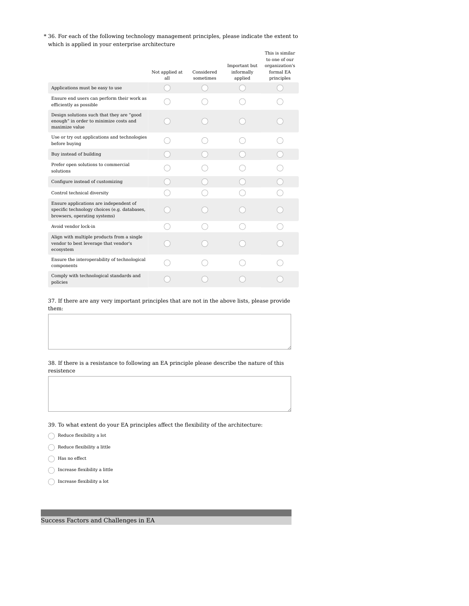36. For each of the following technology management principles, please indicate the extent to \* which is applied in your enterprise architecture

|                                                                                                                        | Not applied at<br>all | Considered<br>sometimes | Important but<br>informally<br>applied | This is similar<br>to one of our<br>organization's<br>formal EA<br>principles |
|------------------------------------------------------------------------------------------------------------------------|-----------------------|-------------------------|----------------------------------------|-------------------------------------------------------------------------------|
| Applications must be easy to use                                                                                       |                       |                         |                                        |                                                                               |
| Ensure end users can perform their work as<br>efficiently as possible                                                  |                       |                         |                                        |                                                                               |
| Design solutions such that they are "good<br>enough" in order to minimize costs and<br>maximize value                  |                       |                         |                                        |                                                                               |
| Use or try out applications and technologies<br>before buying                                                          |                       |                         |                                        |                                                                               |
| Buy instead of building                                                                                                |                       |                         |                                        |                                                                               |
| Prefer open solutions to commercial<br>solutions                                                                       |                       |                         |                                        |                                                                               |
| Configure instead of customizing                                                                                       |                       |                         |                                        |                                                                               |
| Control technical diversity                                                                                            |                       |                         |                                        |                                                                               |
| Ensure applications are independent of<br>specific technology choices (e.g. databases,<br>browsers, operating systems) |                       |                         |                                        |                                                                               |
| Avoid vendor lock-in                                                                                                   |                       |                         |                                        |                                                                               |
| Align with multiple products from a single<br>vendor to best leverage that vendor's<br>ecosystem                       |                       |                         |                                        |                                                                               |
| Ensure the interoperability of technological<br>components                                                             |                       |                         |                                        |                                                                               |
| Comply with technological standards and<br>policies                                                                    |                       |                         |                                        |                                                                               |

37. If there are any very important principles that are not in the above lists, please provide them:

38. If there is a resistance to following an EA principle please describe the nature of this resistence

39. To what extent do your EA principles affect the flexibility of the architecture:

- $\bigcirc$ Reduce flexibility a lot
- $\bigcirc$ Reduce flexibility a little
- $\bigcirc$  Has no effect
- $\bigcap$  Increase flexibility a little
- $\bigcap$  Increase flexibility a lot

Success Factors and Challenges in EA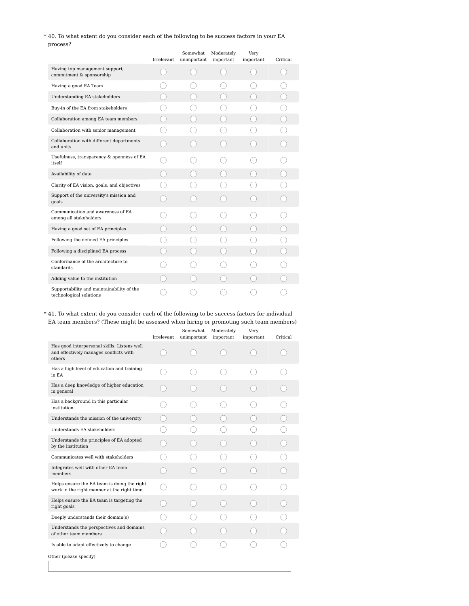### $\ast$  40. To what extent do you consider each of the following to be success factors in your EA process?

|                                                                      | Irrelevant | Somewhat<br>unimportant | Moderately<br>important | Very<br>important | Critical |
|----------------------------------------------------------------------|------------|-------------------------|-------------------------|-------------------|----------|
| Having top management support,<br>commitment & sponsorship           |            |                         |                         |                   |          |
| Having a good EA Team                                                |            |                         |                         |                   |          |
| <b>Understanding EA stakeholders</b>                                 |            |                         |                         |                   |          |
| Buy-in of the EA from stakeholders                                   |            |                         |                         |                   |          |
| Collaboration among EA team members                                  |            |                         |                         |                   |          |
| Collaboration with senior management                                 |            |                         |                         |                   |          |
| Collaboration with different departments<br>and units                |            |                         |                         |                   |          |
| Usefulness, transparency & openness of EA<br>itself                  |            |                         |                         |                   |          |
| Availability of data                                                 |            |                         |                         |                   |          |
| Clarity of EA vision, goals, and objectives                          |            |                         |                         |                   |          |
| Support of the university's mission and<br>goals                     |            |                         |                         |                   |          |
| Communication and awareness of EA<br>among all stakeholders          |            |                         |                         |                   |          |
| Having a good set of EA principles                                   |            |                         |                         |                   |          |
| Following the defined EA principles                                  |            |                         |                         |                   |          |
| Following a disciplined EA process                                   |            |                         |                         |                   |          |
| Conformance of the architecture to<br>standards                      |            |                         |                         |                   |          |
| Adding value to the institution                                      |            |                         |                         |                   |          |
| Supportability and maintainability of the<br>technological solutions |            |                         |                         |                   |          |

41. To what extent do you consider each of the following to be success factors for individual \*EA team members? (These might be assessed when hiring or promoting such team members)

|                                                                                                 | Irrelevant | Somewhat<br>unimportant | Moderately<br>important | Very<br>important | Critical |
|-------------------------------------------------------------------------------------------------|------------|-------------------------|-------------------------|-------------------|----------|
| Has good interpersonal skills: Listens well<br>and effectively manages conflicts with<br>others |            |                         |                         |                   |          |
| Has a high level of education and training<br>in EA                                             |            |                         |                         |                   |          |
| Has a deep knowledge of higher education<br>in general                                          |            |                         |                         |                   |          |
| Has a background in this particular<br>institution                                              |            |                         |                         |                   |          |
| Understands the mission of the university                                                       |            |                         |                         |                   |          |
| Understands EA stakeholders                                                                     |            |                         |                         |                   |          |
| Understands the principles of EA adopted<br>by the institution                                  |            |                         |                         |                   |          |
| Communicates well with stakeholders                                                             |            |                         |                         |                   |          |
| Integrates well with other EA team<br>members                                                   |            |                         |                         |                   |          |
| Helps ensure the EA team is doing the right<br>work in the right manner at the right time       |            |                         |                         |                   |          |
| Helps ensure the EA team is targeting the<br>right goals                                        |            |                         |                         |                   |          |
| Deeply understands their domain(s)                                                              |            |                         |                         |                   |          |
| Understands the perspectives and domains<br>of other team members                               |            |                         |                         |                   |          |
| Is able to adapt effectively to change                                                          |            |                         |                         |                   |          |
| Other (please specify)                                                                          |            |                         |                         |                   |          |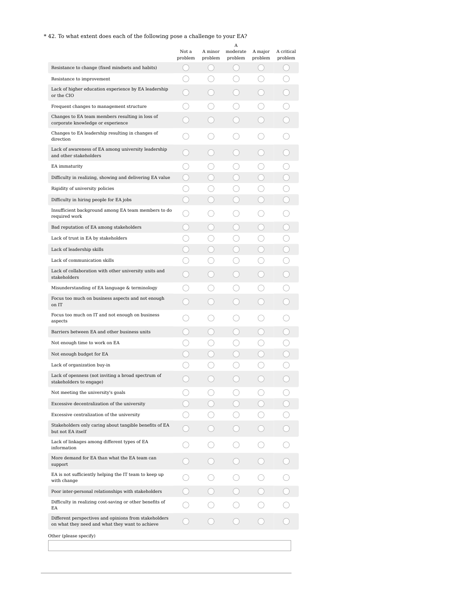# $^{\ast}$  42. To what extent does each of the following pose a challenge to your EA?

| Resistance to change (fixed mindsets and habits)<br>Resistance to improvement<br>Lack of higher education experience by EA leadership<br>or the CIO<br>Frequent changes to management structure<br>Changes to EA team members resulting in loss of | Not a<br>problem | A minor<br>problem | moderate<br>problem<br>О. | A major<br>problem                            | A critical<br>problem |
|----------------------------------------------------------------------------------------------------------------------------------------------------------------------------------------------------------------------------------------------------|------------------|--------------------|---------------------------|-----------------------------------------------|-----------------------|
|                                                                                                                                                                                                                                                    |                  |                    |                           |                                               |                       |
|                                                                                                                                                                                                                                                    |                  |                    |                           |                                               |                       |
|                                                                                                                                                                                                                                                    |                  |                    |                           |                                               |                       |
|                                                                                                                                                                                                                                                    |                  |                    |                           |                                               |                       |
|                                                                                                                                                                                                                                                    |                  |                    |                           |                                               |                       |
| corporate knowledge or experience                                                                                                                                                                                                                  |                  |                    |                           |                                               |                       |
| Changes to EA leadership resulting in changes of<br>direction                                                                                                                                                                                      |                  |                    |                           |                                               |                       |
| Lack of awareness of EA among university leadership<br>and other stakeholders                                                                                                                                                                      |                  |                    |                           |                                               |                       |
| EA immaturity                                                                                                                                                                                                                                      |                  |                    |                           |                                               |                       |
| Difficulty in realizing, showing and delivering EA value                                                                                                                                                                                           | 0                |                    |                           | $\left( \begin{array}{c} \end{array} \right)$ |                       |
| Rigidity of university policies                                                                                                                                                                                                                    |                  |                    |                           |                                               |                       |
| Difficulty in hiring people for EA jobs                                                                                                                                                                                                            | - 1              |                    |                           | . .                                           |                       |
| Insufficient background among EA team members to do<br>required work                                                                                                                                                                               |                  |                    |                           |                                               |                       |
| Bad reputation of EA among stakeholders                                                                                                                                                                                                            | ×.               |                    |                           | . .                                           |                       |
| Lack of trust in EA by stakeholders                                                                                                                                                                                                                |                  |                    |                           |                                               |                       |
| Lack of leadership skills                                                                                                                                                                                                                          |                  |                    |                           |                                               |                       |
| Lack of communication skills                                                                                                                                                                                                                       |                  |                    |                           |                                               |                       |
| Lack of collaboration with other university units and<br>stakeholders                                                                                                                                                                              |                  |                    |                           |                                               |                       |
| Misunderstanding of EA language & terminology                                                                                                                                                                                                      |                  |                    |                           |                                               |                       |
| Focus too much on business aspects and not enough<br>on IT                                                                                                                                                                                         |                  |                    |                           |                                               |                       |
| Focus too much on IT and not enough on business<br>aspects                                                                                                                                                                                         |                  |                    |                           |                                               |                       |
| Barriers between EA and other business units                                                                                                                                                                                                       |                  |                    |                           |                                               |                       |
| Not enough time to work on EA                                                                                                                                                                                                                      |                  |                    |                           |                                               |                       |
| Not enough budget for EA                                                                                                                                                                                                                           |                  |                    |                           |                                               |                       |
| Lack of organization buy-in                                                                                                                                                                                                                        |                  |                    |                           |                                               |                       |
| Lack of openness (not inviting a broad spectrum of<br>stakeholders to engage)                                                                                                                                                                      |                  |                    |                           |                                               |                       |
| Not meeting the university's goals                                                                                                                                                                                                                 |                  |                    |                           |                                               |                       |
| Excessive decentralization of the university                                                                                                                                                                                                       |                  |                    |                           |                                               |                       |
| Excessive centralization of the university                                                                                                                                                                                                         |                  |                    |                           |                                               |                       |
| Stakeholders only caring about tangible benefits of EA<br>but not EA itself                                                                                                                                                                        |                  |                    |                           |                                               |                       |
| Lack of linkages among different types of EA<br>information                                                                                                                                                                                        |                  |                    |                           |                                               |                       |
| More demand for EA than what the EA team can<br>support                                                                                                                                                                                            |                  |                    |                           |                                               |                       |
| EA is not sufficiently helping the IT team to keep up<br>with change                                                                                                                                                                               |                  |                    |                           |                                               |                       |
| Poor inter-personal relationships with stakeholders                                                                                                                                                                                                |                  |                    |                           |                                               |                       |
| Difficulty in realizing cost-saving or other benefits of<br>EA                                                                                                                                                                                     |                  |                    |                           |                                               |                       |
| Different perspectives and opinions from stakeholders<br>on what they need and what they want to achieve                                                                                                                                           |                  |                    |                           |                                               |                       |
| Other (please specify)                                                                                                                                                                                                                             |                  |                    |                           |                                               |                       |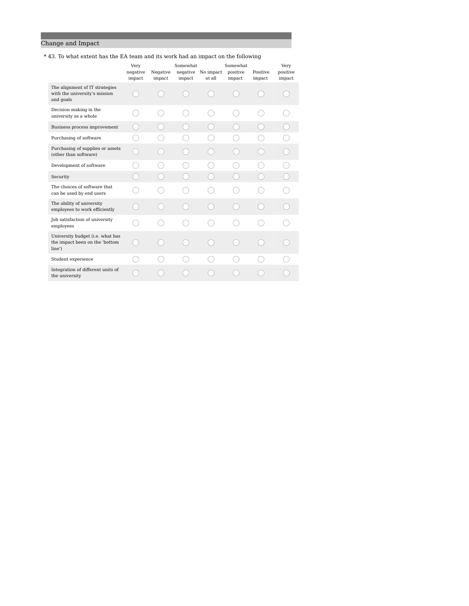# Change and Impact

### \* 43. To what extent has the EA team and its work had an impact on the following

|                                                                              | Very<br>negative<br>impact | Negative<br>impact | <b>Somewhat</b><br>negative<br>impact | No impact<br>at all | Somewhat<br>positive<br>impact | Positive<br>impact | Very<br>positive<br>impact |
|------------------------------------------------------------------------------|----------------------------|--------------------|---------------------------------------|---------------------|--------------------------------|--------------------|----------------------------|
| The alignment of IT strategies<br>with the university's mission<br>and goals |                            |                    |                                       |                     |                                |                    |                            |
| Decision making in the<br>university as a whole                              |                            |                    |                                       |                     |                                |                    |                            |
| Business process improvement                                                 |                            |                    |                                       |                     |                                |                    |                            |
| Purchasing of software                                                       |                            |                    |                                       |                     |                                |                    |                            |
| Purchasing of supplies or assets<br>(other than software)                    |                            |                    |                                       |                     |                                |                    |                            |
| Development of software                                                      |                            |                    |                                       |                     |                                |                    |                            |
| Security                                                                     |                            |                    |                                       |                     |                                |                    |                            |
| The choices of software that<br>can be used by end users                     |                            |                    |                                       |                     |                                |                    |                            |
| The ability of university<br>employees to work efficiently                   |                            |                    |                                       |                     |                                |                    |                            |
| Job satisfaction of university<br>employees                                  |                            |                    |                                       |                     |                                |                    |                            |
| University budget (i.e. what has<br>the impact been on the 'bottom<br>line') |                            |                    |                                       |                     |                                |                    |                            |
| Student experience                                                           |                            |                    |                                       |                     |                                |                    |                            |
| Integration of different units of<br>the university                          |                            |                    |                                       |                     |                                |                    |                            |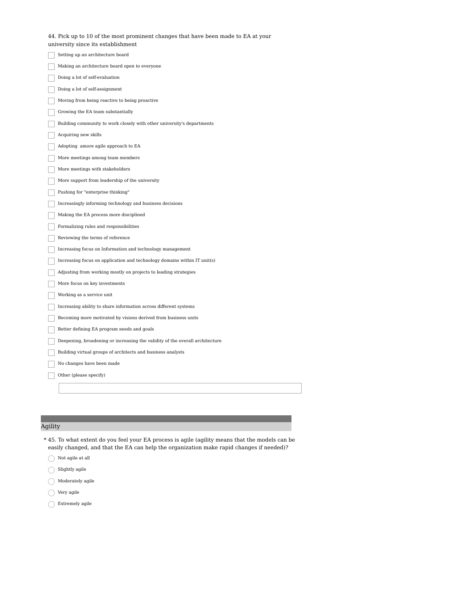| 44. Pick up to 10 of the most prominent changes that have been made to EA at your<br>university since its establishment |
|-------------------------------------------------------------------------------------------------------------------------|
| Setting up an architecture board                                                                                        |
| Making an architecture board open to everyone                                                                           |
| Doing a lot of self-evaluation                                                                                          |
| Doing a lot of self-assignment                                                                                          |
| Moving from being reactive to being proactive                                                                           |
| Growing the EA team substantially                                                                                       |
| Building community to work closely with other university's departments                                                  |
| Acquiring new skills                                                                                                    |
| Adopting amore agile approach to EA                                                                                     |
| More meetings among team members                                                                                        |
| More meetings with stakeholders                                                                                         |
| More support from leadership of the university                                                                          |
| Pushing for "enterprise thinking"                                                                                       |
| Increasingly informing technology and business decisions                                                                |
| Making the EA process more disciplined                                                                                  |
| Formalizing rules and responsibilities                                                                                  |
| Reviewing the terms of reference                                                                                        |
| Increasing focus on Information and technology management                                                               |
| Increasing focus on application and technology domains within IT unit(s)                                                |
| Adjusting from working mostly on projects to leading strategies                                                         |
| More focus on key investments                                                                                           |
| Working as a service unit                                                                                               |
| Increasing ability to share information across different systems                                                        |
| Becoming more motivated by visions derived from business units                                                          |
| Better defining EA program needs and goals                                                                              |
| Deepening, broadening or increasing the validity of the overall architecture                                            |
| Building virtual groups of architects and business analysts                                                             |
| No changes have been made                                                                                               |
| Other (please specify)                                                                                                  |
|                                                                                                                         |

# Agility

- 45. To what extent do you feel your EA process is agile (agility means that the models can be \* easily changed, and that the EA can help the organization make rapid changes if needed)?
- $\bigcirc$  Not agile at all
- $\bigcirc$  Slightly agile
- $\bigcirc$  Moderately agile
- $\bigcirc$  Very agile
- $\bigcirc$  Extremely agile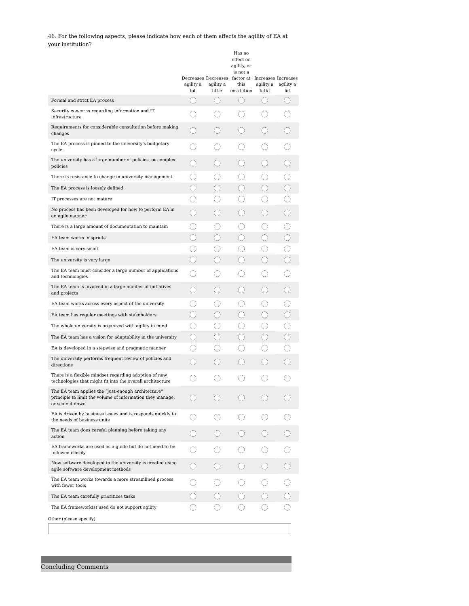46. For the following aspects, please indicate how each of them affects the agility of EA at your institution?

|                                                                                                                                     | agility a<br>lot            | agility a<br>little    | Has no<br>effect on<br>agility, or<br>is not a<br>Decreases Decreases factor at Increases Increases<br>this<br>institution | agility a<br>little | agility a<br>lot |
|-------------------------------------------------------------------------------------------------------------------------------------|-----------------------------|------------------------|----------------------------------------------------------------------------------------------------------------------------|---------------------|------------------|
| Formal and strict EA process                                                                                                        | (                           | $\left( \quad \right)$ | ( )                                                                                                                        | О.                  | . .              |
| Security concerns regarding information and IT<br>infrastructure                                                                    |                             |                        |                                                                                                                            |                     |                  |
| Requirements for considerable consultation before making<br>changes                                                                 |                             |                        |                                                                                                                            |                     |                  |
| The EA process is pinned to the university's budgetary<br>cycle                                                                     |                             |                        |                                                                                                                            |                     |                  |
| The university has a large number of policies, or complex<br>policies                                                               |                             |                        |                                                                                                                            |                     |                  |
| There is resistance to change in university management                                                                              |                             |                        |                                                                                                                            |                     |                  |
| The EA process is loosely defined                                                                                                   |                             |                        | $\left( \begin{array}{c} \end{array} \right)$                                                                              |                     |                  |
| IT processes are not mature                                                                                                         |                             |                        |                                                                                                                            |                     |                  |
| No process has been developed for how to perform EA in<br>an agile manner                                                           |                             |                        | $\mathcal{L}$                                                                                                              |                     |                  |
| There is a large amount of documentation to maintain                                                                                | $\left( \quad \right)$      |                        | ()                                                                                                                         |                     |                  |
| EA team works in sprints                                                                                                            | ×.                          |                        | $\Box$                                                                                                                     |                     |                  |
| EA team is very small                                                                                                               |                             |                        |                                                                                                                            |                     |                  |
| The university is very large                                                                                                        |                             |                        |                                                                                                                            |                     |                  |
| The EA team must consider a large number of applications<br>and technologies                                                        |                             |                        |                                                                                                                            |                     |                  |
| The EA team is involved in a large number of initiatives<br>and projects                                                            |                             |                        |                                                                                                                            |                     |                  |
| EA team works across every aspect of the university                                                                                 |                             |                        |                                                                                                                            |                     |                  |
| EA team has regular meetings with stakeholders                                                                                      |                             |                        |                                                                                                                            |                     |                  |
| The whole university is organized with agility in mind                                                                              | $\hspace{0.1cm}\rightarrow$ |                        | .)                                                                                                                         |                     |                  |
| The EA team has a vision for adaptability in the university                                                                         |                             |                        |                                                                                                                            |                     |                  |
| EA is developed in a stepwise and pragmatic manner                                                                                  |                             |                        |                                                                                                                            |                     |                  |
| The university performs frequent review of policies and<br>directions                                                               |                             |                        |                                                                                                                            |                     |                  |
| There is a flexible mindset regarding adoption of new<br>technologies that might fit into the overall architecture                  |                             |                        |                                                                                                                            |                     |                  |
| The EA team applies the "just-enough architecture"<br>principle to limit the volume of information they manage,<br>or scale it down |                             |                        |                                                                                                                            |                     |                  |
| EA is driven by business issues and is responds quickly to<br>the needs of business units                                           |                             |                        |                                                                                                                            |                     |                  |
| The EA team does careful planning before taking any<br>action                                                                       |                             |                        |                                                                                                                            |                     |                  |
| EA frameworks are used as a guide but do not need to be<br>followed closely                                                         |                             |                        |                                                                                                                            |                     |                  |
| New software developed in the university is created using<br>agile software development methods                                     |                             |                        |                                                                                                                            |                     |                  |
| The EA team works towards a more streamlined process<br>with fewer tools                                                            |                             |                        |                                                                                                                            |                     |                  |
| The EA team carefully prioritizes tasks                                                                                             |                             |                        |                                                                                                                            |                     |                  |
| The EA framework(s) used do not support agility                                                                                     |                             |                        |                                                                                                                            |                     |                  |
| Other (please specify)                                                                                                              |                             |                        |                                                                                                                            |                     |                  |